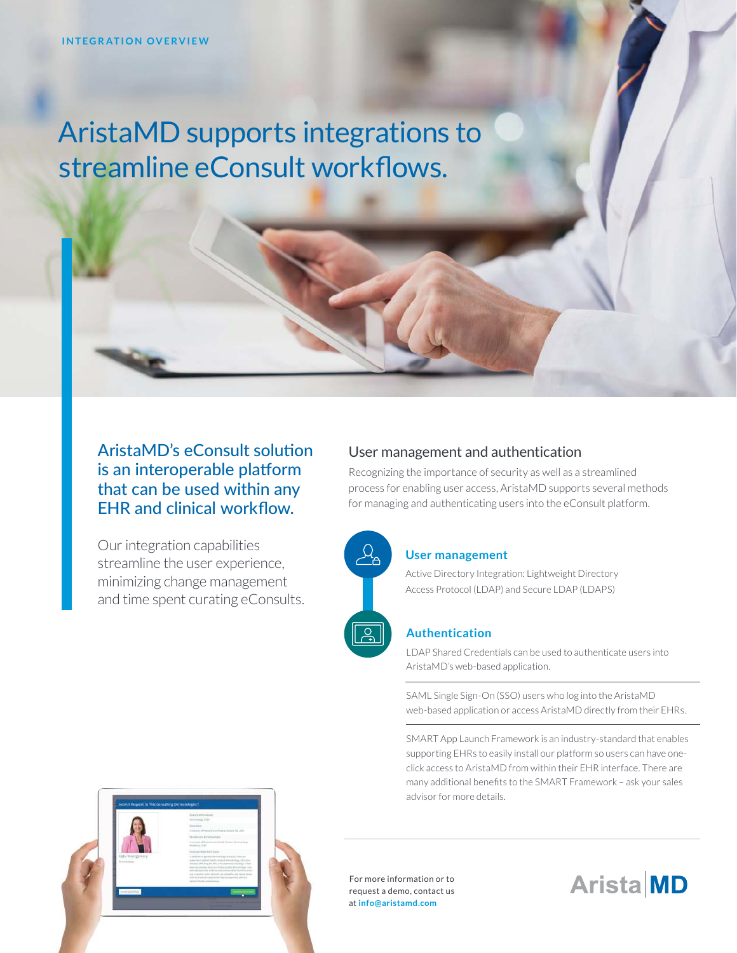# AristaMD supports integrations to streamline eConsult workflows.

## AristaMD's eConsult solution is an interoperable platform that can be used within any EHR and clinical workflow.

Our integration capabilities streamline the user experience, minimizing change management and time spent curating eConsults.

## User management and authentication

Recognizing the importance of security as well as a streamlined process for enabling user access, AristaMD supports several methods for managing and authenticating users into the eConsult platform.



# **User management**

Active Directory Integration: Lightweight Directory Access Protocol (LDAP) and Secure LDAP (LDAPS)

#### **Authentication**

LDAP Shared Credentials can be used to authenticate users into AristaMD's web-based application.

SAML Single Sign-On (SSO) users who log into the AristaMD web-based application or access AristaMD directly from their EHRs.

SMART App Launch Framework is an industry-standard that enables supporting EHRs to easily install our platform so users can have oneclick access to AristaMD from within their EHR interface. There are many additional benefits to the SMART Framework – ask your sales advisor for more details.

For more information or to request a demo, contact us at **info@aristamd.com**